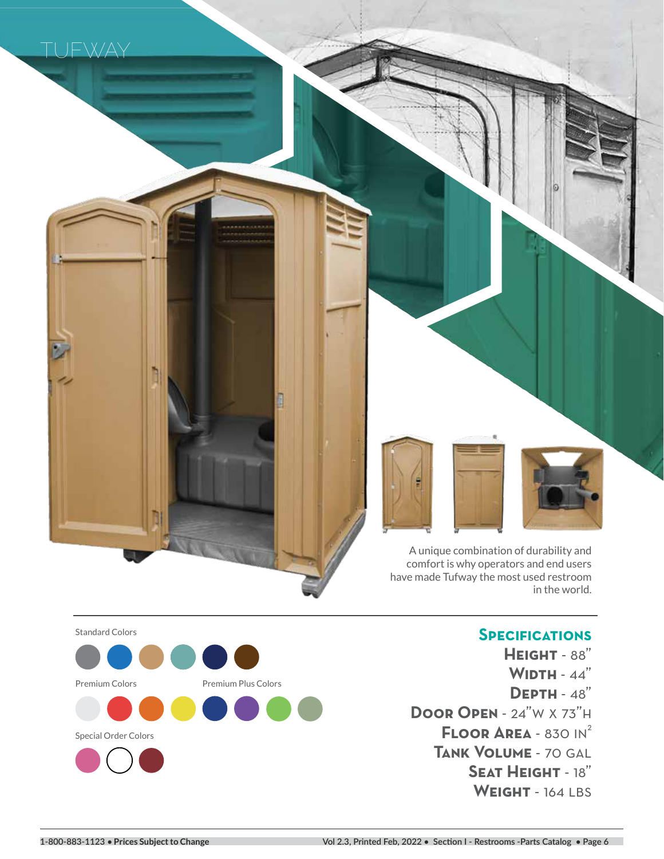



# **Specifications**

**Height** - 88" **Width** - 44" **Depth** - 48" **Door Open** - 24"w x 73"h **FLOOR AREA - 830 IN<sup>2</sup> Tank Volume** - 70 gal **Seat Height** - 18" **Weight** - 164 lbs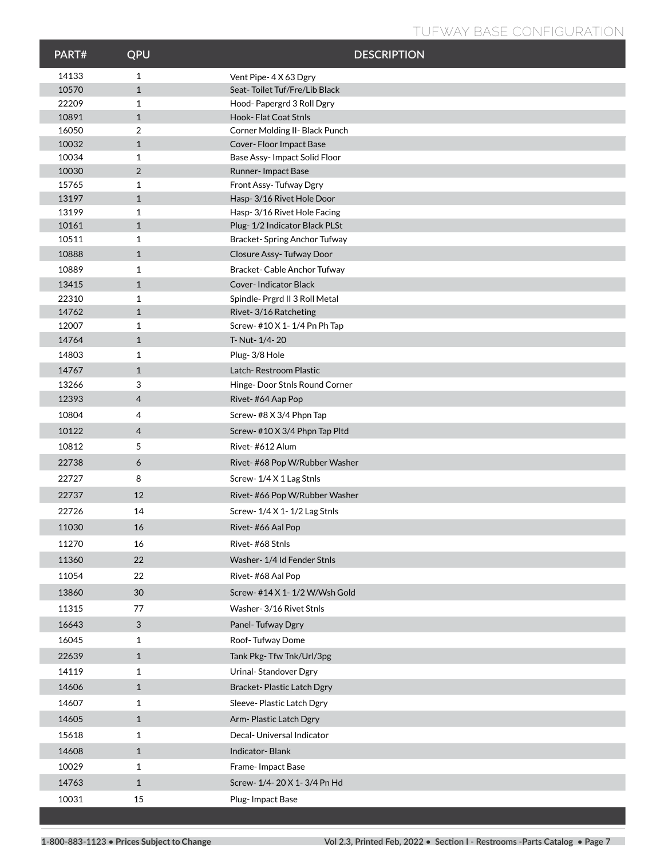# **TUFWAY BASE CONFIGURATION**

| PART#          | QPU               | <b>DESCRIPTION</b>                                  |
|----------------|-------------------|-----------------------------------------------------|
| 14133          | $\mathbf{1}$      | Vent Pipe-4X63 Dgry                                 |
| 10570          | $\mathbf{1}$      | Seat-Toilet Tuf/Fre/Lib Black                       |
| 22209          | 1                 | Hood-Papergrd 3 Roll Dgry                           |
| 10891          | $\mathbf{1}$      | Hook-Flat Coat Stnls                                |
| 16050          | 2                 | Corner Molding II- Black Punch                      |
| 10032          | $\mathbf{1}$      | Cover-Floor Impact Base                             |
| 10034          | 1                 | Base Assy- Impact Solid Floor                       |
| 10030          | 2                 | Runner-Impact Base                                  |
| 15765<br>13197 | 1<br>$\mathbf{1}$ | Front Assy-Tufway Dgry<br>Hasp-3/16 Rivet Hole Door |
| 13199          | 1                 | Hasp-3/16 Rivet Hole Facing                         |
| 10161          | $\mathbf{1}$      | Plug-1/2 Indicator Black PLSt                       |
| 10511          | 1                 | Bracket-Spring Anchor Tufway                        |
| 10888          | $\mathbf{1}$      | Closure Assy-Tufway Door                            |
| 10889          | 1                 | Bracket-Cable Anchor Tufway                         |
| 13415          | $\mathbf{1}$      | Cover-Indicator Black                               |
| 22310          | 1                 | Spindle- Prgrd II 3 Roll Metal                      |
| 14762          | $\mathbf{1}$      | Rivet-3/16 Ratcheting                               |
| 12007          | 1                 | Screw- #10 X 1-1/4 Pn Ph Tap                        |
| 14764          | $\mathbf{1}$      | T- Nut- 1/4-20                                      |
| 14803          | 1                 | Plug-3/8 Hole                                       |
| 14767          | $\mathbf{1}$      | Latch-Restroom Plastic                              |
| 13266          | 3                 | Hinge- Door Stnls Round Corner                      |
| 12393          | $\overline{4}$    | Rivet-#64 Aap Pop                                   |
| 10804          | 4                 | Screw-#8 X 3/4 Phpn Tap                             |
| 10122          | $\overline{4}$    | Screw-#10 X 3/4 Phpn Tap Pltd                       |
| 10812          | 5                 | Rivet-#612 Alum                                     |
| 22738          | 6                 | Rivet-#68 Pop W/Rubber Washer                       |
| 22727          | 8                 | Screw-1/4 X 1 Lag Stnls                             |
| 22737          | 12                |                                                     |
|                |                   | Rivet-#66 Pop W/Rubber Washer                       |
| 22726          | 14                | Screw-1/4 X 1-1/2 Lag Stnls                         |
| 11030          | 16                | Rivet-#66 Aal Pop                                   |
| 11270          | 16                | Rivet-#68 Stnls                                     |
| 11360          | 22                | Washer-1/4 Id Fender Stnls                          |
| 11054          | 22                | Rivet-#68 Aal Pop                                   |
| 13860          | 30                | Screw- #14 X 1-1/2 W/Wsh Gold                       |
| 11315          | 77                | Washer- 3/16 Rivet Stnls                            |
| 16643          | $\mathbf{3}$      | Panel-Tufway Dgry                                   |
| 16045          | $\mathbf{1}$      | Roof-Tufway Dome                                    |
| 22639          | $\mathbf{1}$      | Tank Pkg-Tfw Tnk/Url/3pg                            |
| 14119          | $\mathbf{1}$      | Urinal-Standover Dgry                               |
| 14606          | $\mathbf{1}$      | Bracket-Plastic Latch Dgry                          |
|                |                   |                                                     |
| 14607          | $\mathbf{1}$      | Sleeve-Plastic Latch Dgry                           |
| 14605          | $\mathbf{1}$      | Arm-Plastic Latch Dgry                              |
| 15618          | $\mathbf{1}$      | Decal- Universal Indicator                          |
| 14608          | $\mathbf{1}$      | Indicator-Blank                                     |
| 10029          | $\mathbf{1}$      | Frame-Impact Base                                   |
| 14763          | $\mathbf{1}$      | Screw-1/4-20 X 1-3/4 Pn Hd                          |
| 10031          | 15                | Plug-Impact Base                                    |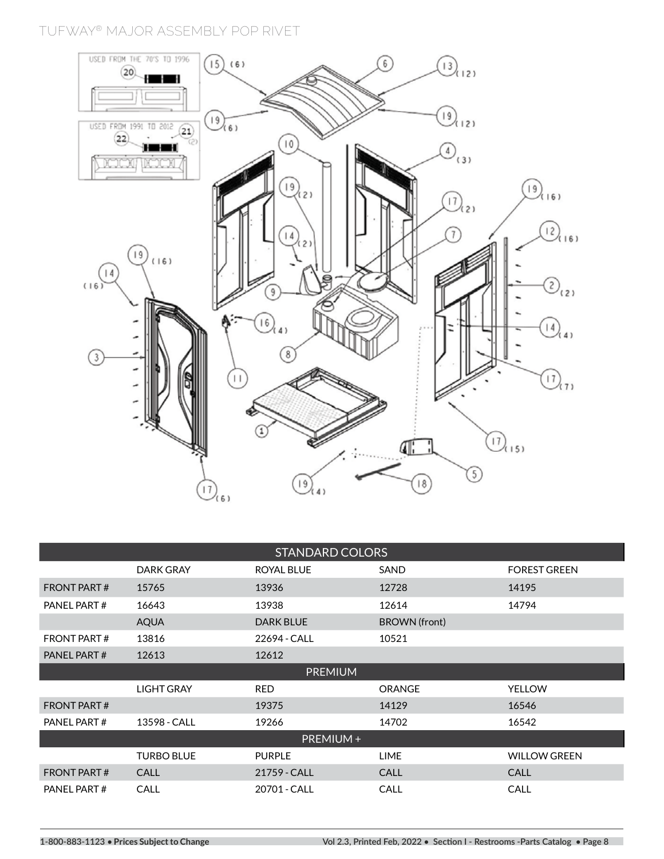**TUFWAY® MAJOR ASSEMBLY POP RIVET**



| <b>STANDARD COLORS</b> |                   |                  |                      |                     |
|------------------------|-------------------|------------------|----------------------|---------------------|
|                        | DARK GRAY         | ROYAL BLUE       | SAND                 | <b>FOREST GREEN</b> |
| <b>FRONT PART#</b>     | 15765             | 13936            | 12728                | 14195               |
| PANEL PART#            | 16643             | 13938            | 12614                | 14794               |
|                        | <b>AQUA</b>       | <b>DARK BLUE</b> | <b>BROWN</b> (front) |                     |
| <b>FRONT PART#</b>     | 13816             | 22694 - CALL     | 10521                |                     |
| PANEL PART#            | 12613             | 12612            |                      |                     |
|                        |                   | <b>PREMIUM</b>   |                      |                     |
|                        | <b>LIGHT GRAY</b> | <b>RED</b>       | <b>ORANGE</b>        | <b>YELLOW</b>       |
| <b>FRONT PART#</b>     |                   | 19375            | 14129                | 16546               |
| PANEL PART#            | 13598 - CALL      | 19266            | 14702                | 16542               |
| PREMIUM +              |                   |                  |                      |                     |
|                        | <b>TURBO BLUE</b> | <b>PURPLE</b>    | <b>LIME</b>          | <b>WILLOW GREEN</b> |
| <b>FRONT PART#</b>     | CALL              | 21759 - CALL     | <b>CALL</b>          | <b>CALL</b>         |
| PANEL PART#            | CALL              | 20701 - CALL     | CALL                 | <b>CALL</b>         |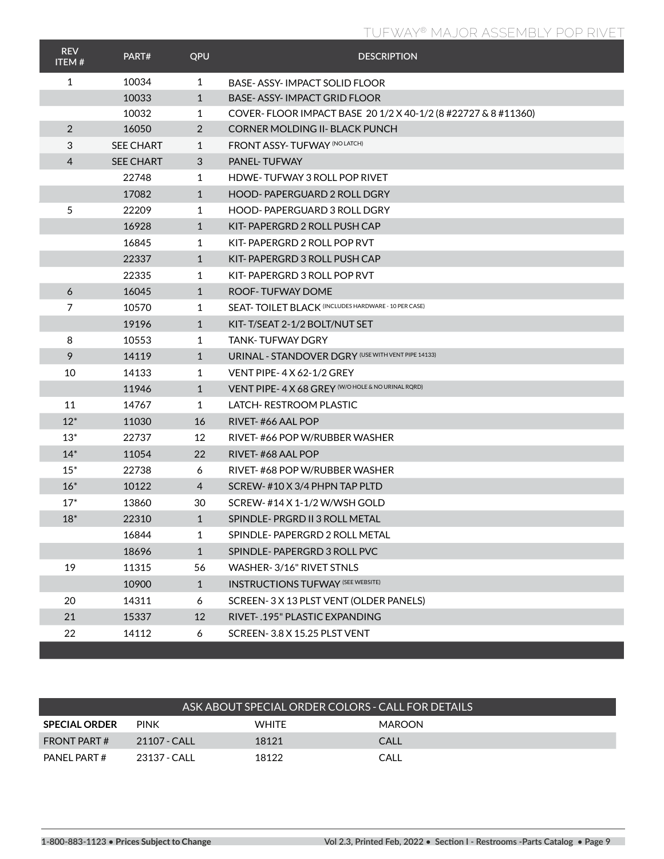# **TUFWAY® MAJOR ASSEMBLY POP RIVET**

| <b>REV</b><br><b>ITEM#</b> | PART#            | QPU            | <b>DESCRIPTION</b>                                            |
|----------------------------|------------------|----------------|---------------------------------------------------------------|
| $\mathbf{1}$               | 10034            | $\mathbf{1}$   | BASE- ASSY- IMPACT SOLID FLOOR                                |
|                            | 10033            | $\mathbf{1}$   | <b>BASE-ASSY-IMPACT GRID FLOOR</b>                            |
|                            | 10032            | 1              | COVER-FLOOR IMPACT BASE 20 1/2 X 40-1/2 (8 #22727 & 8 #11360) |
| $\overline{2}$             | 16050            | $\overline{2}$ | CORNER MOLDING II- BLACK PUNCH                                |
| 3                          | <b>SEE CHART</b> | 1              | <b>FRONT ASSY-TUFWAY (NO LATCH)</b>                           |
| 4                          | <b>SEE CHART</b> | 3              | PANEL-TUFWAY                                                  |
|                            | 22748            | 1              | <b>HDWE-TUFWAY 3 ROLL POP RIVET</b>                           |
|                            | 17082            | $\mathbf{1}$   | <b>HOOD-PAPERGUARD 2 ROLL DGRY</b>                            |
| 5                          | 22209            | 1              | <b>HOOD-PAPERGUARD 3 ROLL DGRY</b>                            |
|                            | 16928            | $\mathbf{1}$   | KIT-PAPERGRD 2 ROLL PUSH CAP                                  |
|                            | 16845            | 1              | KIT-PAPERGRD 2 ROLL POP RVT                                   |
|                            | 22337            | $\mathbf{1}$   | KIT-PAPERGRD 3 ROLL PUSH CAP                                  |
|                            | 22335            | 1              | KIT-PAPERGRD 3 ROLL POP RVT                                   |
| 6                          | 16045            | $\mathbf{1}$   | ROOF-TUFWAY DOME                                              |
| $\overline{7}$             | 10570            | 1              | SEAT-TOILET BLACK (INCLUDES HARDWARE - 10 PER CASE)           |
|                            | 19196            | $\mathbf{1}$   | KIT-T/SEAT 2-1/2 BOLT/NUT SET                                 |
| 8                          | 10553            | 1              | <b>TANK-TUFWAY DGRY</b>                                       |
| 9                          | 14119            | $\mathbf{1}$   | URINAL - STANDOVER DGRY (USE WITH VENT PIPE 14133)            |
| 10                         | 14133            | 1              | <b>VENT PIPE-4 X 62-1/2 GREY</b>                              |
|                            | 11946            | $\mathbf{1}$   | VENT PIPE- 4 X 68 GREY (W/O HOLE & NO URINAL RORD)            |
| 11                         | 14767            | 1              | LATCH-RESTROOM PLASTIC                                        |
| $12*$                      | 11030            | 16             | RIVET-#66 AAL POP                                             |
| $13*$                      | 22737            | 12             | RIVET-#66 POP W/RUBBER WASHER                                 |
| $14*$                      | 11054            | 22             | RIVET-#68 AAL POP                                             |
| $15*$                      | 22738            | 6              | RIVET-#68 POP W/RUBBER WASHER                                 |
| $16*$                      | 10122            | $\overline{4}$ | SCREW-#10 X 3/4 PHPN TAP PLTD                                 |
| $17*$                      | 13860            | 30             | SCREW-#14 X 1-1/2 W/WSH GOLD                                  |
| $18*$                      | 22310            | $\mathbf{1}$   | SPINDLE-PRGRD II 3 ROLL METAL                                 |
|                            | 16844            | 1              | SPINDLE-PAPERGRD 2 ROLL METAL                                 |
|                            | 18696            | $\mathbf{1}$   | SPINDLE-PAPERGRD 3 ROLL PVC                                   |
| 19                         | 11315            | 56             | WASHER-3/16" RIVET STNLS                                      |
|                            | 10900            | $\mathbf{1}$   | <b>INSTRUCTIONS TUFWAY (SEE WEBSITE)</b>                      |
| 20                         | 14311            | 6              | SCREEN-3 X 13 PLST VENT (OLDER PANELS)                        |
| 21                         | 15337            | 12             | RIVET-.195" PLASTIC EXPANDING                                 |
| 22                         | 14112            | 6              | SCREEN-3.8 X 15.25 PLST VENT                                  |

| ASK ABOUT SPECIAL ORDER COLORS - CALL FOR DETAILS |              |              |               |  |  |
|---------------------------------------------------|--------------|--------------|---------------|--|--|
| <b>SPECIAL ORDER</b>                              | <b>PINK</b>  | <b>WHITE</b> | <b>MAROON</b> |  |  |
| FRONT PART#                                       | 21107 - CALL | 18121        | CALL          |  |  |
| PANFI PART#                                       | 23137 - CALL | 18122        | CALL          |  |  |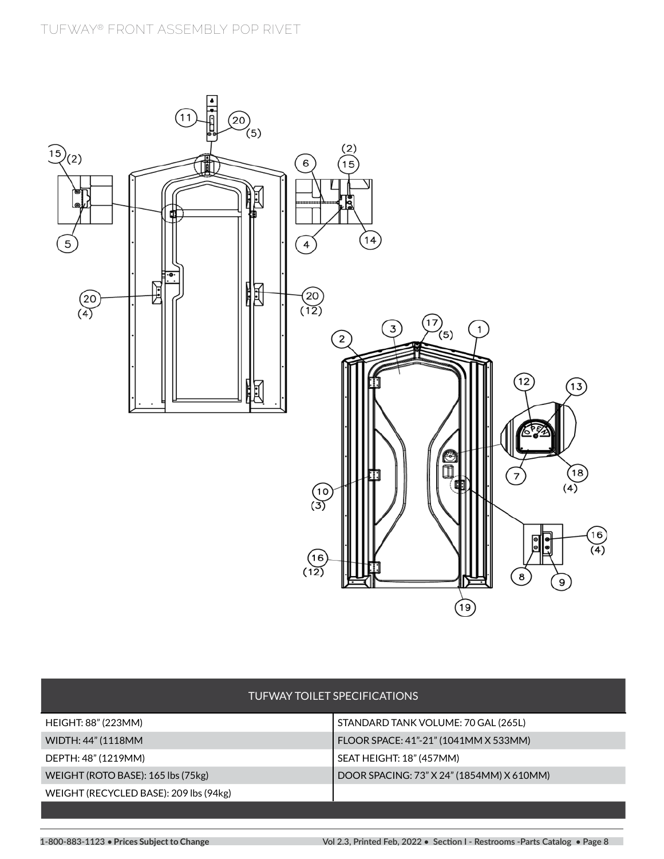

|                                        | TUFWAY TOILET SPECIFICATIONS              |
|----------------------------------------|-------------------------------------------|
| HEIGHT: 88" (223MM)                    | STANDARD TANK VOLUME: 70 GAL (265L)       |
| WIDTH: 44" (1118MM                     | FLOOR SPACE: 41"-21" (1041MM X 533MM)     |
| DEPTH: 48" (1219MM)                    | SEAT HEIGHT: 18" (457MM)                  |
| WEIGHT (ROTO BASE): 165 lbs (75kg)     | DOOR SPACING: 73" X 24" (1854MM) X 610MM) |
| WEIGHT (RECYCLED BASE): 209 lbs (94kg) |                                           |
|                                        |                                           |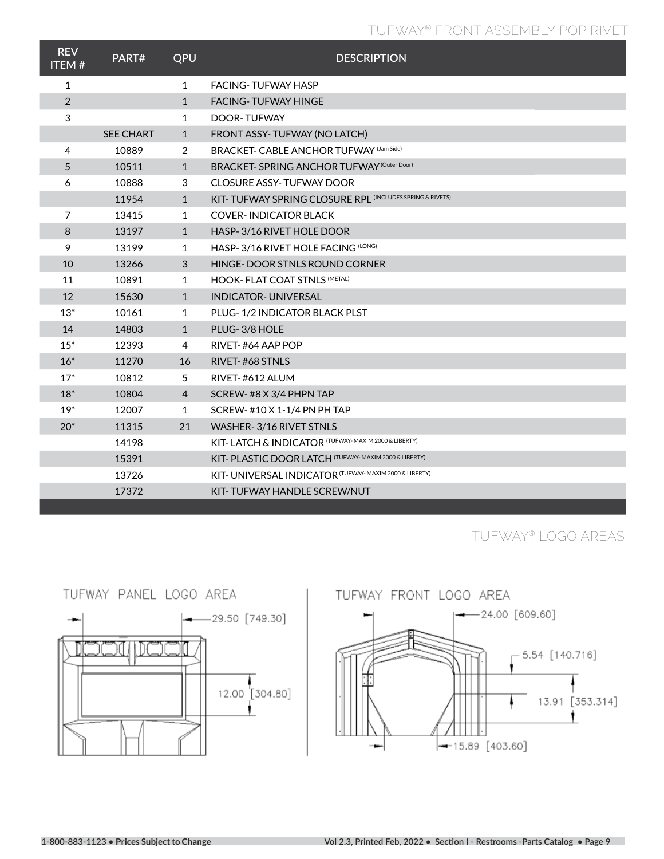# **TUFWAY® FRONT ASSEMBLY POP RIVET**

| <b>REV</b><br><b>ITEM#</b> | PART#            | QPU          | <b>DESCRIPTION</b>                                        |
|----------------------------|------------------|--------------|-----------------------------------------------------------|
| 1                          |                  | 1            | <b>FACING-TUFWAY HASP</b>                                 |
| $\overline{2}$             |                  | $\mathbf{1}$ | <b>FACING-TUFWAY HINGE</b>                                |
| 3                          |                  | 1            | DOOR-TUFWAY                                               |
|                            | <b>SEE CHART</b> | $\mathbf{1}$ | FRONT ASSY-TUFWAY (NO LATCH)                              |
| 4                          | 10889            | 2            | <b>BRACKET- CABLE ANCHOR TUFWAY (Jam Side)</b>            |
| 5                          | 10511            | 1            | BRACKET-SPRING ANCHOR TUFWAY (Outer Door)                 |
| 6                          | 10888            | 3            | <b>CLOSURE ASSY-TUFWAY DOOR</b>                           |
|                            | 11954            | $\mathbf{1}$ | KIT- TUFWAY SPRING CLOSURE RPL (INCLUDES SPRING & RIVETS) |
| 7                          | 13415            | 1            | <b>COVER-INDICATOR BLACK</b>                              |
| 8                          | 13197            | $\mathbf{1}$ | HASP-3/16 RIVET HOLE DOOR                                 |
| 9                          | 13199            | 1            | HASP-3/16 RIVET HOLE FACING (LONG)                        |
| 10                         | 13266            | 3            | HINGE-DOOR STNLS ROUND CORNER                             |
| 11                         | 10891            | 1            | <b>HOOK- FLAT COAT STNLS (METAL)</b>                      |
| 12                         | 15630            | $\mathbf{1}$ | <b>INDICATOR- UNIVERSAL</b>                               |
| $13*$                      | 10161            | 1            | PLUG-1/2 INDICATOR BLACK PLST                             |
| 14                         | 14803            | 1            | PLUG-3/8 HOLE                                             |
| $15*$                      | 12393            | 4            | RIVET-#64 AAP POP                                         |
| $16*$                      | 11270            | 16           | RIVET-#68 STNLS                                           |
| $17*$                      | 10812            | 5            | RIVET-#612 ALUM                                           |
| $18*$                      | 10804            | 4            | SCREW-#8 X 3/4 PHPN TAP                                   |
| $19*$                      | 12007            | 1            | SCREW-#10 X 1-1/4 PN PH TAP                               |
| $20*$                      | 11315            | 21           | WASHER-3/16 RIVET STNLS                                   |
|                            | 14198            |              | KIT- LATCH & INDICATOR (TUFWAY- MAXIM 2000 & LIBERTY)     |
|                            | 15391            |              | KIT- PLASTIC DOOR LATCH (TUFWAY-MAXIM 2000 & LIBERTY)     |
|                            | 13726            |              | KIT- UNIVERSAL INDICATOR (TUFWAY- MAXIM 2000 & LIBERTY)   |
|                            | 17372            |              | KIT-TUFWAY HANDLE SCREW/NUT                               |

**TUFWAY® LOGO AREAS**



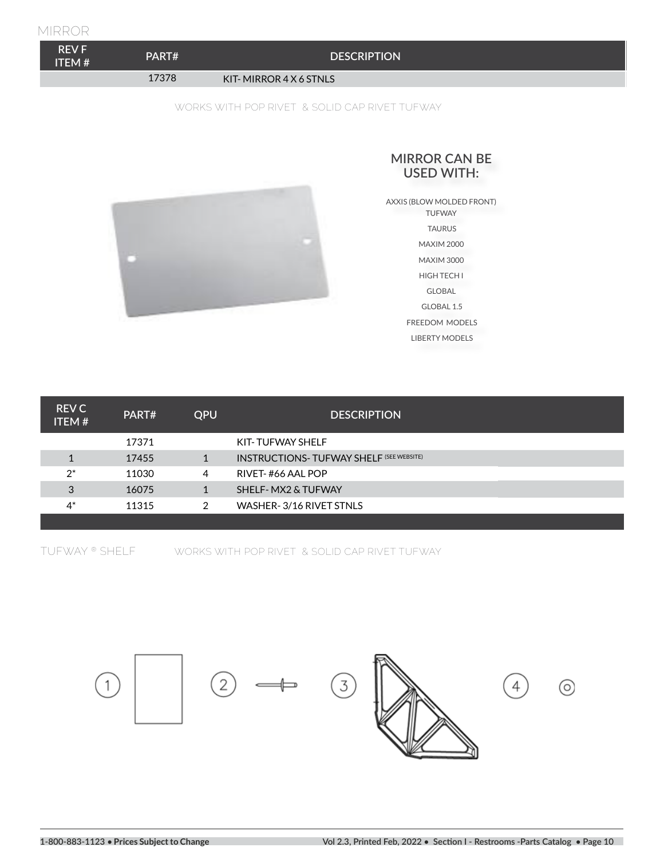#### **MIRROR**

| <b>REV F.</b><br>ITEM #' | PART# | <b>DESCRIPTION</b>     |
|--------------------------|-------|------------------------|
|                          | 17378 | KIT-MIRROR 4 X 6 STNLS |

#### **WORKS WITH POP RIVET & SOLID CAP RIVET TUFWAY**



#### **MIRROR CAN BE USED WITH:**

AXXIS (BLOW MOLDED FRONT) TUFWAY TAURUS MAXIM 2000 MAXIM 3000 HIGH TECH I GLOBAL GLOBAL 1.5 FREEDOM MODELS LIBERTY MODELS

| 17371<br>KIT-TUFWAY SHELF                                     |  |
|---------------------------------------------------------------|--|
| <b>INSTRUCTIONS- TUFWAY SHELF (SEE WEBSITE)</b><br>17455<br>1 |  |
| $2^*$<br>11030<br>RIVET-#66 AAL POP<br>4                      |  |
| 3<br>16075<br>SHELF- MX2 & TUFWAY<br>1                        |  |
| $4^*$<br>WASHER-3/16 RIVET STNLS<br>11315<br>2                |  |

**TUFWAY ® SHELF**

**WORKS WITH POP RIVET & SOLID CAP RIVET TUFWAY**

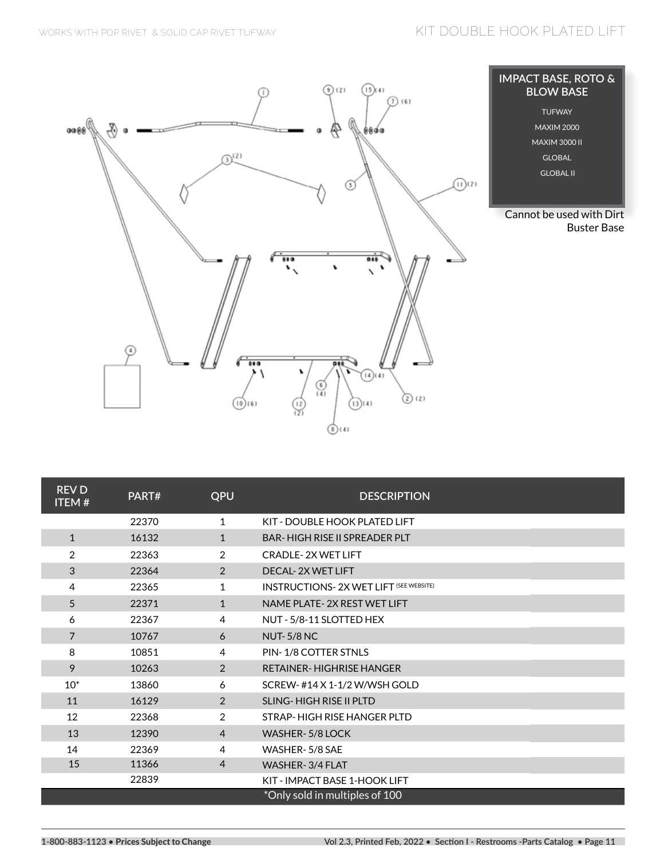

| <b>REVD</b><br><b>ITEM#</b> | PART# | QPU            | <b>DESCRIPTION</b>                             |  |
|-----------------------------|-------|----------------|------------------------------------------------|--|
|                             | 22370 | $\mathbf{1}$   | KIT - DOUBLE HOOK PLATED LIFT                  |  |
| $\mathbf{1}$                | 16132 | $\mathbf{1}$   | <b>BAR-HIGH RISE II SPREADER PLT</b>           |  |
| $\overline{2}$              | 22363 | 2              | <b>CRADLE-2X WET LIFT</b>                      |  |
| 3                           | 22364 | 2              | DECAL-2X WET LIFT                              |  |
| 4                           | 22365 | 1              | <b>INSTRUCTIONS- 2X WET LIFT (SEE WEBSITE)</b> |  |
| 5                           | 22371 | $\mathbf{1}$   | NAME PLATE-2X REST WET LIFT                    |  |
| 6                           | 22367 | 4              | NUT - 5/8-11 SLOTTED HEX                       |  |
| $\overline{7}$              | 10767 | 6              | <b>NUT-5/8 NC</b>                              |  |
| 8                           | 10851 | 4              | PIN-1/8 COTTER STNLS                           |  |
| 9                           | 10263 | 2              | <b>RETAINER-HIGHRISE HANGER</b>                |  |
| $10^*$                      | 13860 | 6              | SCREW-#14 X 1-1/2 W/WSH GOLD                   |  |
| 11                          | 16129 | 2              | <b>SLING-HIGH RISE II PLTD</b>                 |  |
| 12                          | 22368 | 2              | STRAP-HIGH RISE HANGER PLTD                    |  |
| 13                          | 12390 | $\overline{4}$ | <b>WASHER-5/8 LOCK</b>                         |  |
| 14                          | 22369 | 4              | WASHER-5/8 SAE                                 |  |
| 15                          | 11366 | 4              | WASHER-3/4 FLAT                                |  |
|                             | 22839 |                | KIT - IMPACT BASE 1-HOOK LIFT                  |  |
|                             |       |                | *Only sold in multiples of 100                 |  |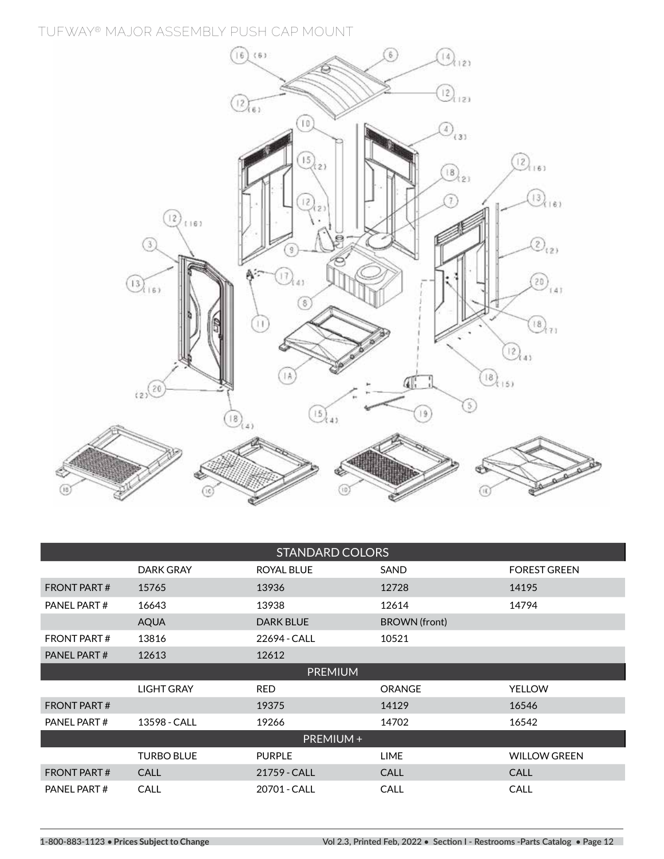**TUFWAY® MAJOR ASSEMBLY PUSH CAP MOUNT**



| <b>STANDARD COLORS</b> |                   |                   |               |                     |  |
|------------------------|-------------------|-------------------|---------------|---------------------|--|
|                        | DARK GRAY         | <b>ROYAL BLUE</b> | SAND          | <b>FOREST GREEN</b> |  |
| <b>FRONT PART#</b>     | 15765             | 13936             | 12728         | 14195               |  |
| PANEL PART#            | 16643             | 13938             | 12614         | 14794               |  |
|                        | <b>AQUA</b>       | <b>DARK BLUE</b>  | BROWN (front) |                     |  |
| <b>FRONT PART#</b>     | 13816             | 22694 - CALL      | 10521         |                     |  |
| PANEL PART#            | 12613             | 12612             |               |                     |  |
|                        | <b>PREMIUM</b>    |                   |               |                     |  |
|                        | <b>LIGHT GRAY</b> | <b>RED</b>        | <b>ORANGE</b> | <b>YELLOW</b>       |  |
| <b>FRONT PART#</b>     |                   | 19375             | 14129         | 16546               |  |
| PANEL PART#            | 13598 - CALL      | 19266             | 14702         | 16542               |  |
| PREMIUM+               |                   |                   |               |                     |  |
|                        | <b>TURBO BLUE</b> | <b>PURPLE</b>     | <b>LIME</b>   | <b>WILLOW GREEN</b> |  |
| <b>FRONT PART#</b>     | CALL              | 21759 - CALL      | <b>CALL</b>   | <b>CALL</b>         |  |
| PANEL PART#            | CALL              | 20701 - CALL      | <b>CALL</b>   | <b>CALL</b>         |  |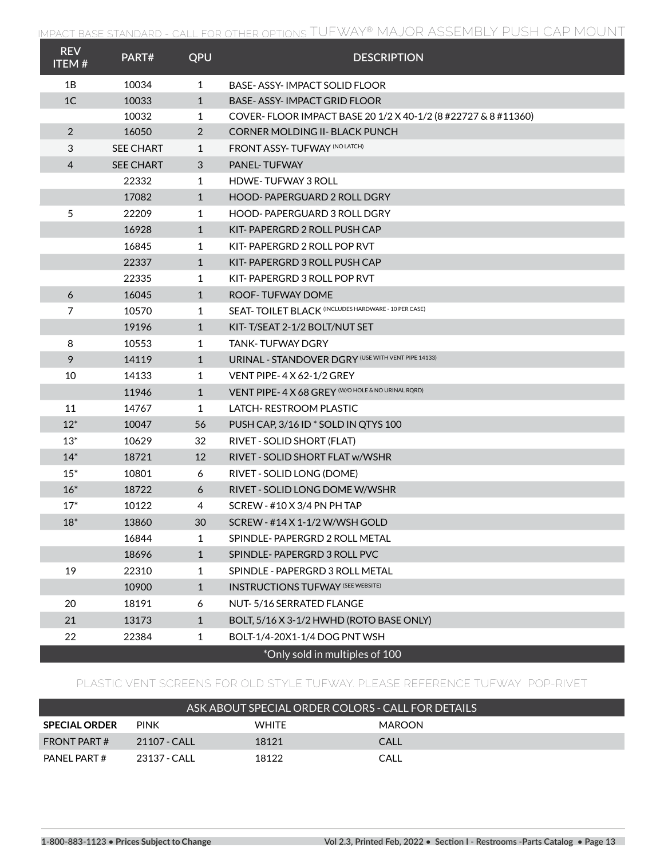| <b>REV</b><br><b>ITEM#</b> | PART#            | QPU          | <b>DESCRIPTION</b>                                            |
|----------------------------|------------------|--------------|---------------------------------------------------------------|
| 1B                         | 10034            | 1            | BASE-ASSY-IMPACT SOLID FLOOR                                  |
| 1 <sup>C</sup>             | 10033            | $\mathbf{1}$ | BASE- ASSY- IMPACT GRID FLOOR                                 |
|                            | 10032            | 1            | COVER-FLOOR IMPACT BASE 20 1/2 X 40-1/2 (8 #22727 & 8 #11360) |
| $\overline{2}$             | 16050            | 2            | CORNER MOLDING II- BLACK PUNCH                                |
| 3                          | <b>SEE CHART</b> | 1            | <b>FRONT ASSY-TUFWAY (NO LATCH)</b>                           |
| $\overline{4}$             | <b>SEE CHART</b> | 3            | <b>PANEL-TUFWAY</b>                                           |
|                            | 22332            | 1            | <b>HDWE-TUFWAY 3 ROLL</b>                                     |
|                            | 17082            | $\mathbf{1}$ | HOOD-PAPERGUARD 2 ROLL DGRY                                   |
| 5                          | 22209            | 1            | <b>HOOD-PAPERGUARD 3 ROLL DGRY</b>                            |
|                            | 16928            | $\mathbf{1}$ | KIT-PAPERGRD 2 ROLL PUSH CAP                                  |
|                            | 16845            | 1            | KIT-PAPERGRD 2 ROLL POP RVT                                   |
|                            | 22337            | $\mathbf{1}$ | KIT-PAPERGRD 3 ROLL PUSH CAP                                  |
|                            | 22335            | 1            | KIT-PAPERGRD 3 ROLL POP RVT                                   |
| 6                          | 16045            | $\mathbf{1}$ | ROOF-TUFWAY DOME                                              |
| $\overline{7}$             | 10570            | 1            | <b>SEAT-TOILET BLACK (INCLUDES HARDWARE - 10 PER CASE)</b>    |
|                            | 19196            | $\mathbf{1}$ | KIT-T/SEAT 2-1/2 BOLT/NUT SET                                 |
| 8                          | 10553            | 1            | TANK- TUFWAY DGRY                                             |
| 9                          | 14119            | $\mathbf{1}$ | URINAL - STANDOVER DGRY (USE WITH VENT PIPE 14133)            |
| 10                         | 14133            | 1            | VENT PIPE-4 X 62-1/2 GREY                                     |
|                            | 11946            | $\mathbf{1}$ | VENT PIPE- 4 X 68 GREY (W/O HOLE & NO URINAL RORD)            |
| 11                         | 14767            | 1            | LATCH-RESTROOM PLASTIC                                        |
| $12*$                      | 10047            | 56           | PUSH CAP, 3/16 ID * SOLD IN QTYS 100                          |
| $13*$                      | 10629            | 32           | RIVET - SOLID SHORT (FLAT)                                    |
| $14*$                      | 18721            | 12           | RIVET - SOLID SHORT FLAT w/WSHR                               |
| $15*$                      | 10801            | 6            | RIVET - SOLID LONG (DOME)                                     |
| $16*$                      | 18722            | 6            | RIVET - SOLID LONG DOME W/WSHR                                |
| $17*$                      | 10122            | 4            | SCREW - #10 X 3/4 PN PH TAP                                   |
| $18^*$                     | 13860            | 30           | SCREW - #14 X 1-1/2 W/WSH GOLD                                |
|                            | 16844            | 1            | SPINDLE-PAPERGRD 2 ROLL METAL                                 |
|                            | 18696            | $\mathbf{1}$ | SPINDLE-PAPERGRD 3 ROLL PVC                                   |
| 19                         | 22310            | 1            | SPINDLE - PAPERGRD 3 ROLL METAL                               |
|                            | 10900            | $\mathbf{1}$ | <b>INSTRUCTIONS TUFWAY (SEE WEBSITE)</b>                      |
| 20                         | 18191            | 6            | NUT-5/16 SERRATED FLANGE                                      |
| 21                         | 13173            | $\mathbf{1}$ | BOLT, 5/16 X 3-1/2 HWHD (ROTO BASE ONLY)                      |
| 22                         | 22384            | $\mathbf{1}$ | BOLT-1/4-20X1-1/4 DOG PNT WSH                                 |
|                            |                  |              | *Only sold in multiples of 100                                |

### **PLASTIC VENT SCREENS FOR OLD STYLE TUFWAY. PLEASE REFERENCE TUFWAY POP-RIVET**

| ASK ABOUT SPECIAL ORDER COLORS - CALL FOR DETAILS |               |              |        |  |  |
|---------------------------------------------------|---------------|--------------|--------|--|--|
| <b>SPECIAL ORDER</b>                              | <b>PINK</b>   | <b>WHITE</b> | MAROON |  |  |
| FRONT PART #                                      | $21107 - CAH$ | 18121        | CALL   |  |  |
| PANFI PART#                                       | 23137 - CALL  | 18122        | CALL   |  |  |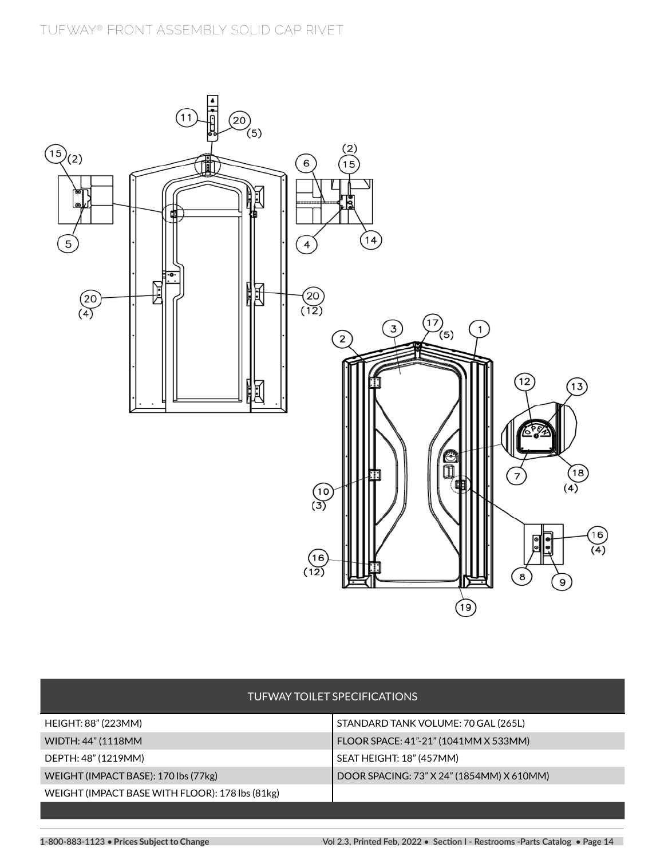

|                                                 | TUFWAY TOILET SPECIFICATIONS              |
|-------------------------------------------------|-------------------------------------------|
| HEIGHT: 88" (223MM)                             | STANDARD TANK VOLUME: 70 GAL (265L)       |
| WIDTH: 44" (1118MM                              | FLOOR SPACE: 41"-21" (1041MM X 533MM)     |
| DEPTH: 48" (1219MM)                             | SEAT HEIGHT: 18" (457MM)                  |
| WEIGHT (IMPACT BASE): 170 lbs (77kg)            | DOOR SPACING: 73" X 24" (1854MM) X 610MM) |
| WEIGHT (IMPACT BASE WITH FLOOR): 178 lbs (81kg) |                                           |
|                                                 |                                           |